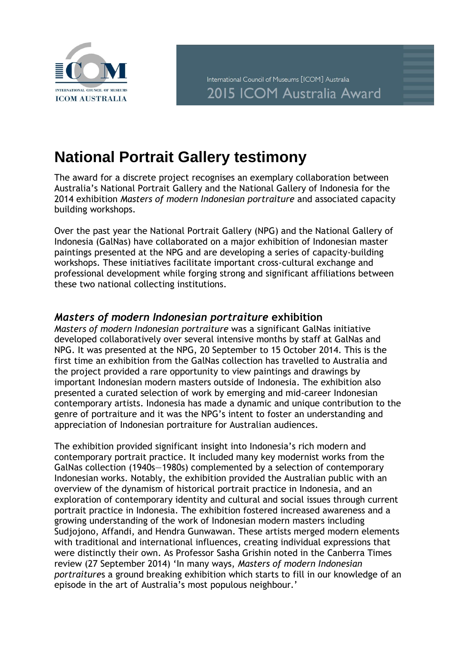

## **National Portrait Gallery testimony**

The award for a discrete project recognises an exemplary collaboration between Australia's National Portrait Gallery and the National Gallery of Indonesia for the 2014 exhibition *Masters of modern Indonesian portraiture* and associated capacity building workshops.

Over the past year the National Portrait Gallery (NPG) and the National Gallery of Indonesia (GalNas) have collaborated on a major exhibition of Indonesian master paintings presented at the NPG and are developing a series of capacity-building workshops. These initiatives facilitate important cross-cultural exchange and professional development while forging strong and significant affiliations between these two national collecting institutions.

## *Masters of modern Indonesian portraiture* **exhibition**

*Masters of modern Indonesian portraiture* was a significant GalNas initiative developed collaboratively over several intensive months by staff at GalNas and NPG. It was presented at the NPG, 20 September to 15 October 2014. This is the first time an exhibition from the GalNas collection has travelled to Australia and the project provided a rare opportunity to view paintings and drawings by important Indonesian modern masters outside of Indonesia. The exhibition also presented a curated selection of work by emerging and mid-career Indonesian contemporary artists. Indonesia has made a dynamic and unique contribution to the genre of portraiture and it was the NPG's intent to foster an understanding and appreciation of Indonesian portraiture for Australian audiences.

The exhibition provided significant insight into Indonesia's rich modern and contemporary portrait practice. It included many key modernist works from the GalNas collection (1940s—1980s) complemented by a selection of contemporary Indonesian works. Notably, the exhibition provided the Australian public with an overview of the dynamism of historical portrait practice in Indonesia, and an exploration of contemporary identity and cultural and social issues through current portrait practice in Indonesia. The exhibition fostered increased awareness and a growing understanding of the work of Indonesian modern masters including Sudjojono, Affandi, and Hendra Gunwawan. These artists merged modern elements with traditional and international influences, creating individual expressions that were distinctly their own. As Professor Sasha Grishin noted in the Canberra Times review (27 September 2014) 'In many ways, *Masters of modern Indonesian portraiture*s a ground breaking exhibition which starts to fill in our knowledge of an episode in the art of Australia's most populous neighbour.'